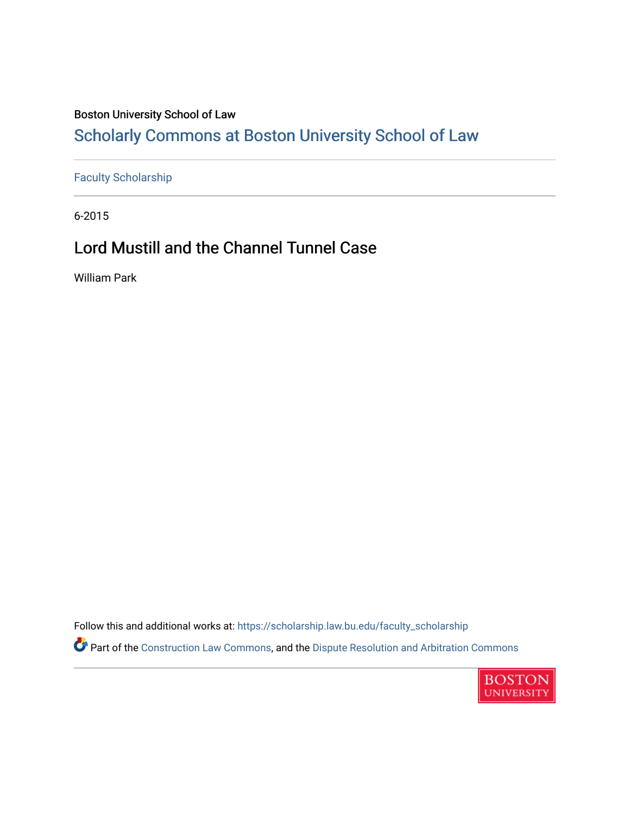### Boston University School of Law

# [Scholarly Commons at Boston University School of Law](https://scholarship.law.bu.edu/)

[Faculty Scholarship](https://scholarship.law.bu.edu/faculty_scholarship)

6-2015

### Lord Mustill and the Channel Tunnel Case

William Park

Follow this and additional works at: [https://scholarship.law.bu.edu/faculty\\_scholarship](https://scholarship.law.bu.edu/faculty_scholarship?utm_source=scholarship.law.bu.edu%2Ffaculty_scholarship%2F797&utm_medium=PDF&utm_campaign=PDFCoverPages) Part of the [Construction Law Commons,](http://network.bepress.com/hgg/discipline/590?utm_source=scholarship.law.bu.edu%2Ffaculty_scholarship%2F797&utm_medium=PDF&utm_campaign=PDFCoverPages) and the [Dispute Resolution and Arbitration Commons](http://network.bepress.com/hgg/discipline/890?utm_source=scholarship.law.bu.edu%2Ffaculty_scholarship%2F797&utm_medium=PDF&utm_campaign=PDFCoverPages)

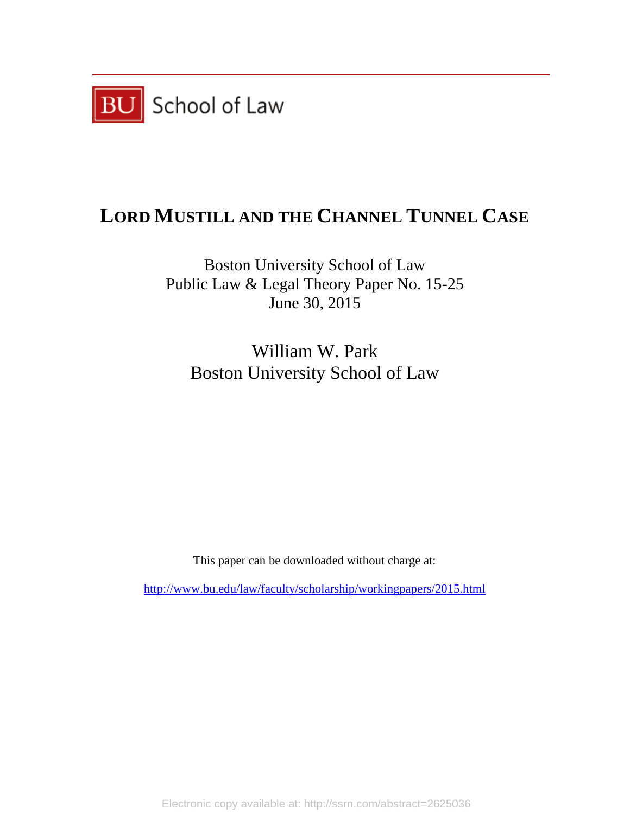

## **LORD MUSTILL AND THE CHANNEL TUNNEL CASE**

Boston University School of Law Public Law & Legal Theory Paper No. 15-25 June 30, 2015

William W. Park Boston University School of Law

This paper can be downloaded without charge at:

<http://www.bu.edu/law/faculty/scholarship/workingpapers/2015.html>

Electronic copy available at: http://ssrn.com/abstract=2625036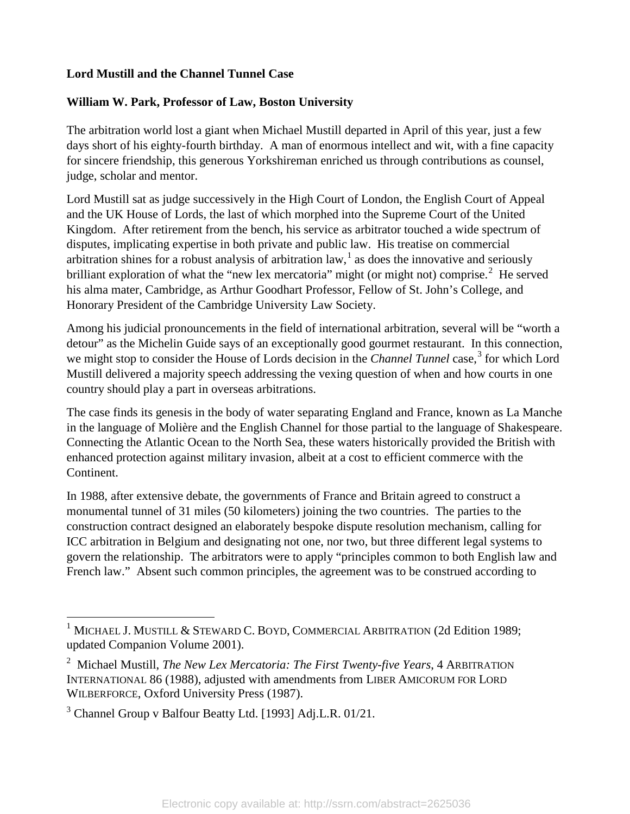### **Lord Mustill and the Channel Tunnel Case**

#### **William W. Park, Professor of Law, Boston University**

The arbitration world lost a giant when Michael Mustill departed in April of this year, just a few days short of his eighty-fourth birthday. A man of enormous intellect and wit, with a fine capacity for sincere friendship, this generous Yorkshireman enriched us through contributions as counsel, judge, scholar and mentor.

Lord Mustill sat as judge successively in the High Court of London, the English Court of Appeal and the UK House of Lords, the last of which morphed into the Supreme Court of the United Kingdom. After retirement from the bench, his service as arbitrator touched a wide spectrum of disputes, implicating expertise in both private and public law. His treatise on commercial arbitration shines for a robust analysis of arbitration law,<sup>[1](#page-2-0)</sup> as does the innovative and seriously brilliant exploration of what the "new lex mercatoria" might (or might not) comprise.<sup>[2](#page-2-1)</sup> He served his alma mater, Cambridge, as Arthur Goodhart Professor, Fellow of St. John's College, and Honorary President of the Cambridge University Law Society.

Among his judicial pronouncements in the field of international arbitration, several will be "worth a detour" as the Michelin Guide says of an exceptionally good gourmet restaurant. In this connection, we might stop to consider the House of Lords decision in the *Channel Tunnel* case,<sup>[3](#page-2-2)</sup> for which Lord Mustill delivered a majority speech addressing the vexing question of when and how courts in one country should play a part in overseas arbitrations.

The case finds its genesis in the body of water separating England and France, known as La Manche in the language of Molière and the English Channel for those partial to the language of Shakespeare. Connecting the Atlantic Ocean to the North Sea, these waters historically provided the British with enhanced protection against military invasion, albeit at a cost to efficient commerce with the Continent.

In 1988, after extensive debate, the governments of France and Britain agreed to construct a monumental tunnel of 31 miles (50 kilometers) joining the two countries. The parties to the construction contract designed an elaborately bespoke dispute resolution mechanism, calling for ICC arbitration in Belgium and designating not one, nor two, but three different legal systems to govern the relationship. The arbitrators were to apply "principles common to both English law and French law." Absent such common principles, the agreement was to be construed according to

<span id="page-2-0"></span><sup>&</sup>lt;sup>1</sup> MICHAEL J. MUSTILL & STEWARD C. BOYD, COMMERCIAL ARBITRATION (2d Edition 1989; updated Companion Volume 2001).

<span id="page-2-1"></span><sup>2</sup> Michael Mustill, *The New Lex Mercatoria: The First Twenty-five Years*, 4 ARBITRATION INTERNATIONAL 86 (1988), adjusted with amendments from LIBER AMICORUM FOR LORD WILBERFORCE, Oxford University Press (1987).

<span id="page-2-2"></span> $3$  Channel Group v Balfour Beatty Ltd. [1993] Adj.L.R. 01/21.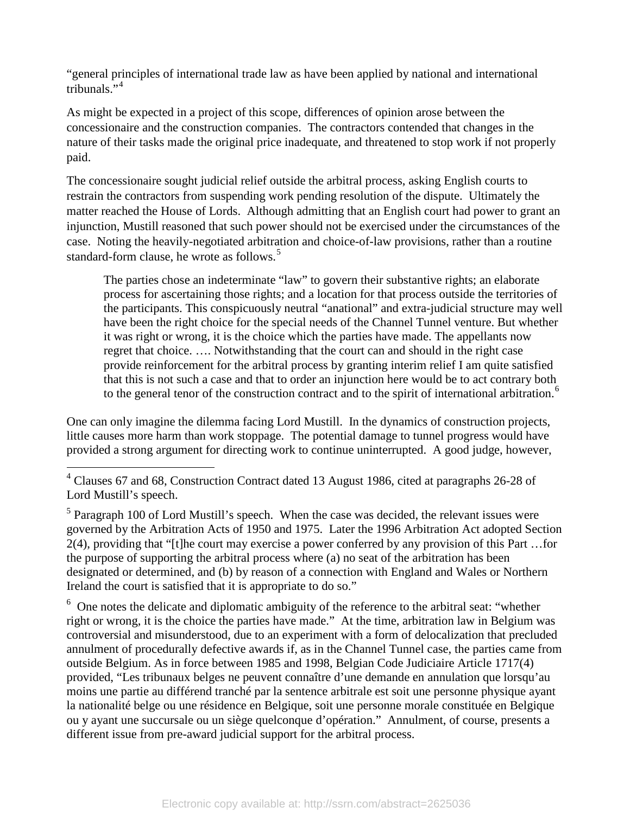"general principles of international trade law as have been applied by national and international tribunals. $"$ <sup>[4](#page-3-0)</sup>

As might be expected in a project of this scope, differences of opinion arose between the concessionaire and the construction companies. The contractors contended that changes in the nature of their tasks made the original price inadequate, and threatened to stop work if not properly paid.

The concessionaire sought judicial relief outside the arbitral process, asking English courts to restrain the contractors from suspending work pending resolution of the dispute. Ultimately the matter reached the House of Lords. Although admitting that an English court had power to grant an injunction, Mustill reasoned that such power should not be exercised under the circumstances of the case. Noting the heavily-negotiated arbitration and choice-of-law provisions, rather than a routine standard-form clause, he wrote as follows.<sup>[5](#page-3-1)</sup>

The parties chose an indeterminate "law" to govern their substantive rights; an elaborate process for ascertaining those rights; and a location for that process outside the territories of the participants. This conspicuously neutral "anational" and extra-judicial structure may well have been the right choice for the special needs of the Channel Tunnel venture. But whether it was right or wrong, it is the choice which the parties have made. The appellants now regret that choice. …. Notwithstanding that the court can and should in the right case provide reinforcement for the arbitral process by granting interim relief I am quite satisfied that this is not such a case and that to order an injunction here would be to act contrary both to the general tenor of the construction contract and to the spirit of international arbitration.<sup>[6](#page-3-2)</sup>

One can only imagine the dilemma facing Lord Mustill. In the dynamics of construction projects, little causes more harm than work stoppage. The potential damage to tunnel progress would have provided a strong argument for directing work to continue uninterrupted. A good judge, however,

<span id="page-3-1"></span> $<sup>5</sup>$  Paragraph 100 of Lord Mustill's speech. When the case was decided, the relevant issues were</sup> governed by the Arbitration Acts of 1950 and 1975. Later the 1996 Arbitration Act adopted Section 2(4), providing that "[t]he court may exercise a power conferred by any provision of this Part …for the purpose of supporting the arbitral process where (a) no seat of the arbitration has been designated or determined, and (b) by reason of a connection with England and Wales or Northern Ireland the court is satisfied that it is appropriate to do so."

<span id="page-3-2"></span> $6\degree$  One notes the delicate and diplomatic ambiguity of the reference to the arbitral seat: "whether right or wrong, it is the choice the parties have made." At the time, arbitration law in Belgium was controversial and misunderstood, due to an experiment with a form of delocalization that precluded annulment of procedurally defective awards if, as in the Channel Tunnel case, the parties came from outside Belgium. As in force between 1985 and 1998, Belgian Code Judiciaire Article 1717(4) provided, "Les tribunaux belges ne peuvent connaître d'une demande en annulation que lorsqu'au moins une partie au différend tranché par la sentence arbitrale est soit une personne physique ayant la nationalité belge ou une résidence en Belgique, soit une personne morale constituée en Belgique ou y ayant une succursale ou un siège quelconque d'opération." Annulment, of course, presents a different issue from pre-award judicial support for the arbitral process.

<span id="page-3-0"></span> <sup>4</sup> Clauses 67 and 68, Construction Contract dated 13 August 1986, cited at paragraphs 26-28 of Lord Mustill's speech.